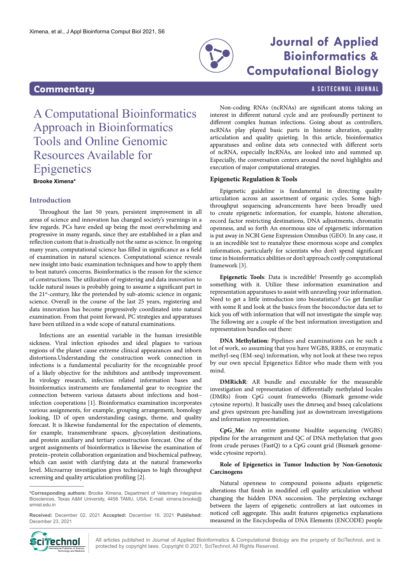

## **Journal of Applied Bioinformatics & Computational Biology**

## <span id="page-0-0"></span>**Commentary** A SCITECHNOL JOURNAL

# A Computational Bioinformatics Approach in Bioinformatics Tools and Online Genomic Resources Available for **Epigenetics**

**Brooke Ximena\***

### **Introduction**

Throughout the last 50 years, persistent improvement in all areas of science and innovation has changed society's yearnings in a few regards. PCs have ended up being the most overwhelming and progressive in many regards, since they are established in a plan and reflection custom that is drastically not the same as science. In ongoing many years, computational science has filled in significance as a field of examination in natural sciences. Computational science reveals new insight into basic examination techniques and how to apply them to beat nature's concerns. Bioinformatics is the reason for the science of constructions. The utilization of registering and data innovation to tackle natural issues is probably going to assume a significant part in the 21<sup>st</sup>-century, like the pretended by sub-atomic science in organic science. Overall in the course of the last 25 years, registering and data innovation has become progressively coordinated into natural examination. From that point forward, PC strategies and apparatuses have been utilized in a wide scope of natural examinations.

Infections are an essential variable in the human irresistible sickness. Viral infection episodes and ideal plagues to various regions of the planet cause extreme clinical appearances and inborn distortions.Understanding the construction work connection in infections is a fundamental peculiarity for the recognizable proof of a likely objective for the inhibitors and antibody improvement. In virology research, infection related information bases and bioinformatics instruments are fundamental gear to recognize the connection between various datasets about infections and host– infection cooperations [1]. Bioinformatics examination incorporates various assignments, for example, grouping arrangement, homology looking, ID of open understanding casings, theme, and quality forecast. It is likewise fundamental for the expectation of elements, for example, transmembrane spaces, glycosylation destinations, and protein auxiliary and tertiary construction forecast. One of the urgent assignments of bioinformatics is likewise the examination of protein–protein collaboration organization and biochemical pathway, which can assist with clarifying data at the natural frameworks level. Microarray investigation gives techniques to high throughput screening and quality articulation profiling [2].

**\*Corresponding authors:** Brooke Ximena, Department of Veterinary Integrative Biosciences, Texas A&M University, 4458 TAMU, USA; E-mail: ximena.brooke@ srmist edu in

**Received:** December 02, 2021 **Accepted:** December 16, 2021 **Published:** December 23, 2021

Non-coding RNAs (ncRNAs) are significant atoms taking an interest in different natural cycle and are profoundly pertinent to different complex human infections. Going about as controllers, ncRNAs play played basic parts in histone alteration, quality articulation and quality quieting. In this article, bioinformatics apparatuses and online data sets connected with different sorts of ncRNA, especially lncRNAs, are looked into and summed up. Especially, the conversation centers around the novel highlights and execution of major computational strategies.

#### **Epigenetic Regulation & Tools**

Epigenetic guideline is fundamental in directing quality articulation across an assortment of organic cycles. Some highthroughput sequencing advancements have been broadly used to create epigenetic information, for example, histone alteration, record factor restricting destinations, DNA adjustments, chromatin openness, and so forth An enormous size of epigenetic information is put away in NCBI Gene Expression Omnibus (GEO). In any case, it is an incredible test to reanalyze these enormous scope and complex information, particularly for scientists who don't spend significant time in bioinformatics abilities or don't approach costly computational framework [3].

**Epigenetic Tools**: Data is incredible! Presently go accomplish something with it. Utilize these information examination and representation apparatuses to assist with unraveling your information. Need to get a little introduction into biostatistics? Go get familiar with some R and look at the basics from the bioconductor data set to kick you off with information that will not investigate the simple way. The following are a couple of the best information investigation and representation bundles out there:

**DNA Methylation:** Pipelines and examinations can be such a lot of work, so assuming that you have WGBS, RRBS, or enzymatic methyl-seq (EM-seq) information, why not look at these two repos by our own special Epigenetics Editor who made them with you mind.

**DMRichR**: AR bundle and executable for the measurable investigation and representation of differentially methylated locales (DMRs) from CpG count frameworks (Bismark genome-wide cytosine reports). It basically uses the dmrseq and bsseq calculations and gives upstream pre-handling just as downstream investigations and information representation.

**CpG\_Me:** An entire genome bisulfite sequencing (WGBS) pipeline for the arrangement and QC of DNA methylation that goes from crude peruses (FastQ) to a CpG count grid (Bismark genomewide cytosine reports).

#### **Role of Epigenetics in Tumor Induction by Non-Genotoxic Carcinogens**

Natural openness to compound poisons adjusts epigenetic alterations that finish in modified cell quality articulation without changing the hidden DNA succession. The perplexing exchange between the layers of epigenetic controllers at last outcomes in noticed cell aggregate. This audit features epigenetics explanations measured in the Encyclopedia of DNA Elements (ENCODE) people



All articles published in Journal of Applied Bioinformatics & Computational Biology are the property of SciTechnol, and is  $\text{Cip}$  **protected** by copyright laws. Copyright © 2021, SciTechnol, All Rights Reserved. International Biographic Copyright C 2021, SciTechnol, All Rights Reserved.